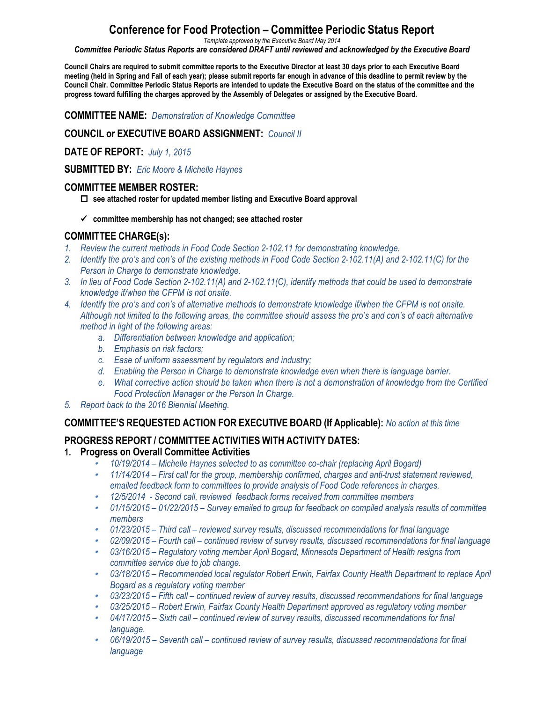# **Conference for Food Protection – Committee Periodic Status Report**

*Template approved by the Executive Board May 2014*

*Committee Periodic Status Reports are considered DRAFT until reviewed and acknowledged by the Executive Board*

Council Chairs are required to submit committee reports to the Executive Director at least 30 days prior to each Executive Board meeting (held in Spring and Fall of each year); please submit reports far enough in advance of this deadline to permit review by the Council Chair. Committee Periodic Status Reports are intended to update the Executive Board on the status of the committee and the **progress toward fulfilling the charges approved by the Assembly of Delegates or assigned by the Executive Board.**

**COMMITTEE NAME:** *Demonstration of Knowledge Committee*

**COUNCIL or EXECUTIVE BOARD ASSIGNMENT:** *Council II*

**DATE OF REPORT:** *July 1, 2015*

**SUBMITTED BY:** *Eric Moore & Michelle Haynes*

#### **COMMITTEE MEMBER ROSTER:**

o **see attached roster for updated member listing and Executive Board approval**

ü **committee membership has not changed; see attached roster** 

#### **COMMITTEE CHARGE(s):**

- *1. Review the current methods in Food Code Section 2-102.11 for demonstrating knowledge.*
- *2. Identify the pro's and con's of the existing methods in Food Code Section 2-102.11(A) and 2-102.11(C) for the Person in Charge to demonstrate knowledge.*
- *3. In lieu of Food Code Section 2-102.11(A) and 2-102.11(C), identify methods that could be used to demonstrate knowledge if/when the CFPM is not onsite.*
- *4. Identify the pro's and con's of alternative methods to demonstrate knowledge if/when the CFPM is not onsite. Although not limited to the following areas, the committee should assess the pro's and con's of each alternative method in light of the following areas:*
	- *a. Differentiation between knowledge and application;*
	- *b. Emphasis on risk factors;*
	- *c. Ease of uniform assessment by regulators and industry;*
	- *d. Enabling the Person in Charge to demonstrate knowledge even when there is language barrier.*
	- *e. What corrective action should be taken when there is not a demonstration of knowledge from the Certified Food Protection Manager or the Person In Charge.*
- *5. Report back to the 2016 Biennial Meeting.*

#### **COMMITTEE'S REQUESTED ACTION FOR EXECUTIVE BOARD (If Applicable):** *No action at this time*

### **PROGRESS REPORT / COMMITTEE ACTIVITIES WITH ACTIVITY DATES:**

#### **1. Progress on Overall Committee Activities**

- •*10/19/2014 – Michelle Haynes selected to as committee co-chair (replacing April Bogard)*
- • *11/14/2014 – First call for the group, membership confirmed, charges and anti-trust statement reviewed, emailed feedback form to committees to provide analysis of Food Code references in charges.*
- •*12/5/2014 - Second call, reviewed feedback forms received from committee members*
- *01/15/2015 – 01/22/2015 – Survey emailed to group for feedback on compiled analysis results of committee members*
- *01/23/2015 – Third call – reviewed survey results, discussed recommendations for final language*
- *02/09/2015 – Fourth call – continued review of survey results, discussed recommendations for final language*
- *03/16/2015 – Regulatory voting member April Bogard, Minnesota Department of Health resigns from committee service due to job change.*
- *03/18/2015 – Recommended local regulator Robert Erwin, Fairfax County Health Department to replace April Bogard as a regulatory voting member*
- *03/23/2015 – Fifth call – continued review of survey results, discussed recommendations for final language*
- *03/25/2015 – Robert Erwin, Fairfax County Health Department approved as regulatory voting member*
- *04/17/2015 – Sixth call – continued review of survey results, discussed recommendations for final language.*
- *06/19/2015 – Seventh call – continued review of survey results, discussed recommendations for final language*